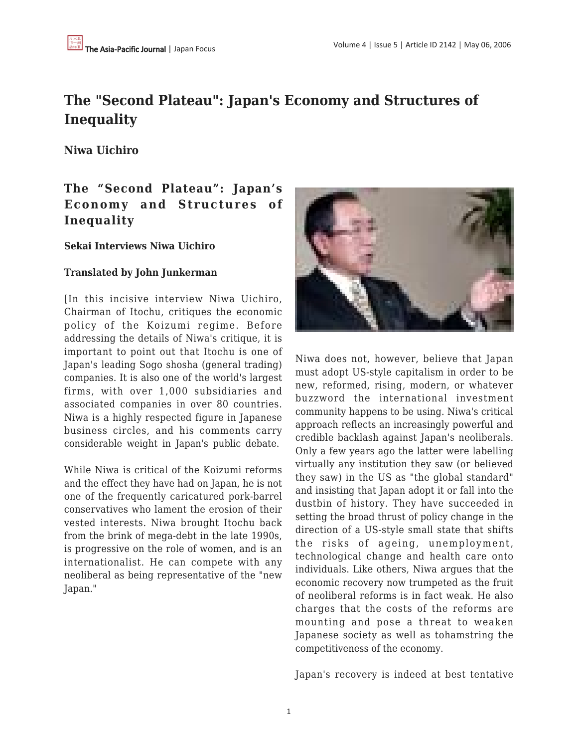# **The "Second Plateau": Japan's Economy and Structures of Inequality**

**Niwa Uichiro**

## **The "Second Plateau": Japan's Economy and Structures of Inequality**

**Sekai Interviews Niwa Uichiro**

### **Translated by John Junkerman**

[In this incisive interview Niwa Uichiro, Chairman of Itochu, critiques the economic policy of the Koizumi regime. Before addressing the details of Niwa's critique, it is important to point out that Itochu is one of Japan's leading Sogo shosha (general trading) companies. It is also one of the world's largest firms, with over 1,000 subsidiaries and associated companies in over 80 countries. Niwa is a highly respected figure in Japanese business circles, and his comments carry considerable weight in Japan's public debate.

While Niwa is critical of the Koizumi reforms and the effect they have had on Japan, he is not one of the frequently caricatured pork-barrel conservatives who lament the erosion of their vested interests. Niwa brought Itochu back from the brink of mega-debt in the late 1990s, is progressive on the role of women, and is an internationalist. He can compete with any neoliberal as being representative of the "new Japan."



Niwa does not, however, believe that Japan must adopt US-style capitalism in order to be new, reformed, rising, modern, or whatever buzzword the international investment community happens to be using. Niwa's critical approach reflects an increasingly powerful and credible backlash against Japan's neoliberals. Only a few years ago the latter were labelling virtually any institution they saw (or believed they saw) in the US as "the global standard" and insisting that Japan adopt it or fall into the dustbin of history. They have succeeded in setting the broad thrust of policy change in the direction of a US-style small state that shifts the risks of ageing, unemployment, technological change and health care onto individuals. Like others, Niwa argues that the economic recovery now trumpeted as the fruit of neoliberal reforms is in fact weak. He also charges that the costs of the reforms are mounting and pose a threat to weaken Japanese society as well as tohamstring the competitiveness of the economy.

Japan's recovery is indeed at best tentative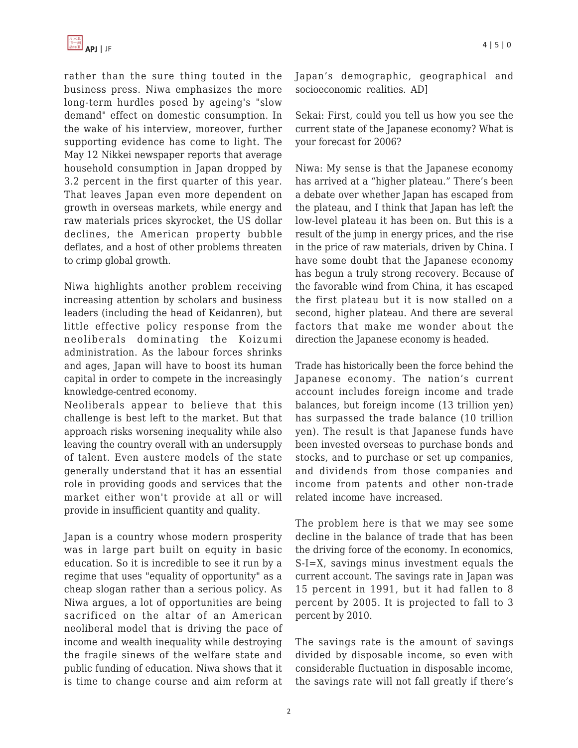rather than the sure thing touted in the business press. Niwa emphasizes the more long-term hurdles posed by ageing's "slow demand" effect on domestic consumption. In the wake of his interview, moreover, further supporting evidence has come to light. The May 12 Nikkei newspaper reports that average household consumption in Japan dropped by 3.2 percent in the first quarter of this year. That leaves Japan even more dependent on growth in overseas markets, while energy and raw materials prices skyrocket, the US dollar declines, the American property bubble deflates, and a host of other problems threaten to crimp global growth.

Niwa highlights another problem receiving increasing attention by scholars and business leaders (including the head of Keidanren), but little effective policy response from the neoliberals dominating the Koizumi administration. As the labour forces shrinks and ages, Japan will have to boost its human capital in order to compete in the increasingly knowledge-centred economy.

Neoliberals appear to believe that this challenge is best left to the market. But that approach risks worsening inequality while also leaving the country overall with an undersupply of talent. Even austere models of the state generally understand that it has an essential role in providing goods and services that the market either won't provide at all or will provide in insufficient quantity and quality.

Japan is a country whose modern prosperity was in large part built on equity in basic education. So it is incredible to see it run by a regime that uses "equality of opportunity" as a cheap slogan rather than a serious policy. As Niwa argues, a lot of opportunities are being sacrificed on the altar of an American neoliberal model that is driving the pace of income and wealth inequality while destroying the fragile sinews of the welfare state and public funding of education. Niwa shows that it is time to change course and aim reform at

Japan's demographic, geographical and socioeconomic realities. AD]

Sekai: First, could you tell us how you see the current state of the Japanese economy? What is your forecast for 2006?

Niwa: My sense is that the Japanese economy has arrived at a "higher plateau." There's been a debate over whether Japan has escaped from the plateau, and I think that Japan has left the low-level plateau it has been on. But this is a result of the jump in energy prices, and the rise in the price of raw materials, driven by China. I have some doubt that the Japanese economy has begun a truly strong recovery. Because of the favorable wind from China, it has escaped the first plateau but it is now stalled on a second, higher plateau. And there are several factors that make me wonder about the direction the Japanese economy is headed.

Trade has historically been the force behind the Japanese economy. The nation's current account includes foreign income and trade balances, but foreign income (13 trillion yen) has surpassed the trade balance (10 trillion yen). The result is that Japanese funds have been invested overseas to purchase bonds and stocks, and to purchase or set up companies, and dividends from those companies and income from patents and other non-trade related income have increased.

The problem here is that we may see some decline in the balance of trade that has been the driving force of the economy. In economics, S-I=X, savings minus investment equals the current account. The savings rate in Japan was 15 percent in 1991, but it had fallen to 8 percent by 2005. It is projected to fall to 3 percent by 2010.

The savings rate is the amount of savings divided by disposable income, so even with considerable fluctuation in disposable income, the savings rate will not fall greatly if there's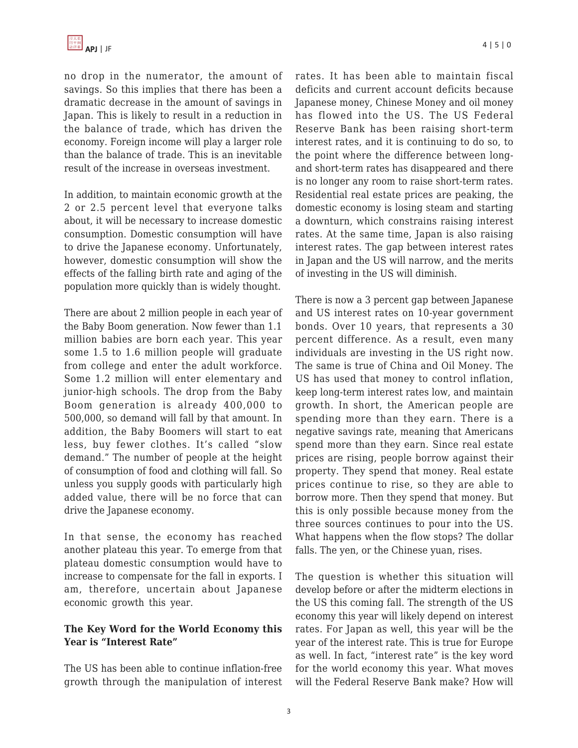no drop in the numerator, the amount of savings. So this implies that there has been a dramatic decrease in the amount of savings in Japan. This is likely to result in a reduction in the balance of trade, which has driven the economy. Foreign income will play a larger role than the balance of trade. This is an inevitable result of the increase in overseas investment.

In addition, to maintain economic growth at the 2 or 2.5 percent level that everyone talks about, it will be necessary to increase domestic consumption. Domestic consumption will have to drive the Japanese economy. Unfortunately, however, domestic consumption will show the effects of the falling birth rate and aging of the population more quickly than is widely thought.

There are about 2 million people in each year of the Baby Boom generation. Now fewer than 1.1 million babies are born each year. This year some 1.5 to 1.6 million people will graduate from college and enter the adult workforce. Some 1.2 million will enter elementary and junior-high schools. The drop from the Baby Boom generation is already 400,000 to 500,000, so demand will fall by that amount. In addition, the Baby Boomers will start to eat less, buy fewer clothes. It's called "slow demand." The number of people at the height of consumption of food and clothing will fall. So unless you supply goods with particularly high added value, there will be no force that can drive the Japanese economy.

In that sense, the economy has reached another plateau this year. To emerge from that plateau domestic consumption would have to increase to compensate for the fall in exports. I am, therefore, uncertain about Japanese economic growth this year.

#### **The Key Word for the World Economy this Year is "Interest Rate"**

The US has been able to continue inflation-free growth through the manipulation of interest rates. It has been able to maintain fiscal deficits and current account deficits because Japanese money, Chinese Money and oil money has flowed into the US. The US Federal Reserve Bank has been raising short-term interest rates, and it is continuing to do so, to the point where the difference between longand short-term rates has disappeared and there is no longer any room to raise short-term rates. Residential real estate prices are peaking, the domestic economy is losing steam and starting a downturn, which constrains raising interest rates. At the same time, Japan is also raising interest rates. The gap between interest rates in Japan and the US will narrow, and the merits of investing in the US will diminish.

There is now a 3 percent gap between Japanese and US interest rates on 10-year government bonds. Over 10 years, that represents a 30 percent difference. As a result, even many individuals are investing in the US right now. The same is true of China and Oil Money. The US has used that money to control inflation, keep long-term interest rates low, and maintain growth. In short, the American people are spending more than they earn. There is a negative savings rate, meaning that Americans spend more than they earn. Since real estate prices are rising, people borrow against their property. They spend that money. Real estate prices continue to rise, so they are able to borrow more. Then they spend that money. But this is only possible because money from the three sources continues to pour into the US. What happens when the flow stops? The dollar falls. The yen, or the Chinese yuan, rises.

The question is whether this situation will develop before or after the midterm elections in the US this coming fall. The strength of the US economy this year will likely depend on interest rates. For Japan as well, this year will be the year of the interest rate. This is true for Europe as well. In fact, "interest rate" is the key word for the world economy this year. What moves will the Federal Reserve Bank make? How will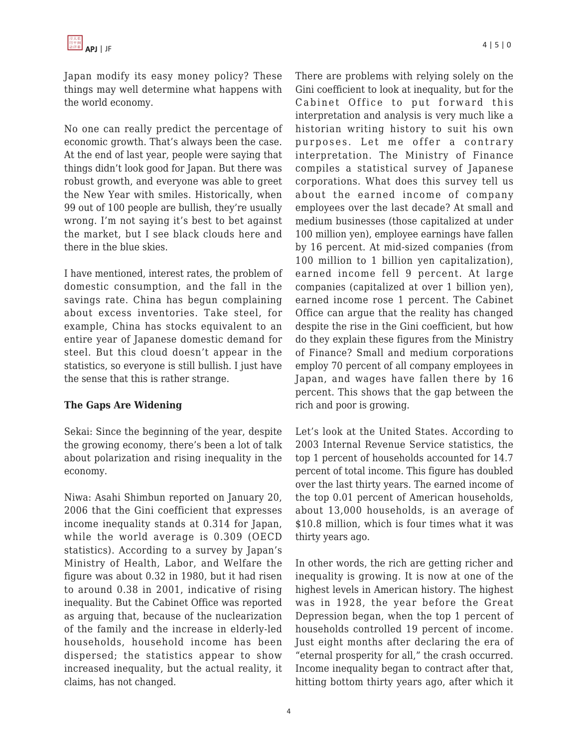Japan modify its easy money policy? These things may well determine what happens with the world economy.

No one can really predict the percentage of economic growth. That's always been the case. At the end of last year, people were saying that things didn't look good for Japan. But there was robust growth, and everyone was able to greet the New Year with smiles. Historically, when 99 out of 100 people are bullish, they're usually wrong. I'm not saying it's best to bet against the market, but I see black clouds here and there in the blue skies.

I have mentioned, interest rates, the problem of domestic consumption, and the fall in the savings rate. China has begun complaining about excess inventories. Take steel, for example, China has stocks equivalent to an entire year of Japanese domestic demand for steel. But this cloud doesn't appear in the statistics, so everyone is still bullish. I just have the sense that this is rather strange.

#### **The Gaps Are Widening**

Sekai: Since the beginning of the year, despite the growing economy, there's been a lot of talk about polarization and rising inequality in the economy.

Niwa: Asahi Shimbun reported on January 20, 2006 that the Gini coefficient that expresses income inequality stands at 0.314 for Japan, while the world average is 0.309 (OECD statistics). According to a survey by Japan's Ministry of Health, Labor, and Welfare the figure was about 0.32 in 1980, but it had risen to around 0.38 in 2001, indicative of rising inequality. But the Cabinet Office was reported as arguing that, because of the nuclearization of the family and the increase in elderly-led households, household income has been dispersed; the statistics appear to show increased inequality, but the actual reality, it claims, has not changed.

There are problems with relying solely on the Gini coefficient to look at inequality, but for the Cabinet Office to put forward this interpretation and analysis is very much like a historian writing history to suit his own purposes. Let me offer a contrary interpretation. The Ministry of Finance compiles a statistical survey of Japanese corporations. What does this survey tell us about the earned income of company employees over the last decade? At small and medium businesses (those capitalized at under 100 million yen), employee earnings have fallen by 16 percent. At mid-sized companies (from 100 million to 1 billion yen capitalization), earned income fell 9 percent. At large companies (capitalized at over 1 billion yen), earned income rose 1 percent. The Cabinet Office can argue that the reality has changed despite the rise in the Gini coefficient, but how do they explain these figures from the Ministry of Finance? Small and medium corporations employ 70 percent of all company employees in Japan, and wages have fallen there by 16 percent. This shows that the gap between the rich and poor is growing.

Let's look at the United States. According to 2003 Internal Revenue Service statistics, the top 1 percent of households accounted for 14.7 percent of total income. This figure has doubled over the last thirty years. The earned income of the top 0.01 percent of American households, about 13,000 households, is an average of \$10.8 million, which is four times what it was thirty years ago.

In other words, the rich are getting richer and inequality is growing. It is now at one of the highest levels in American history. The highest was in 1928, the year before the Great Depression began, when the top 1 percent of households controlled 19 percent of income. Just eight months after declaring the era of "eternal prosperity for all," the crash occurred. Income inequality began to contract after that, hitting bottom thirty years ago, after which it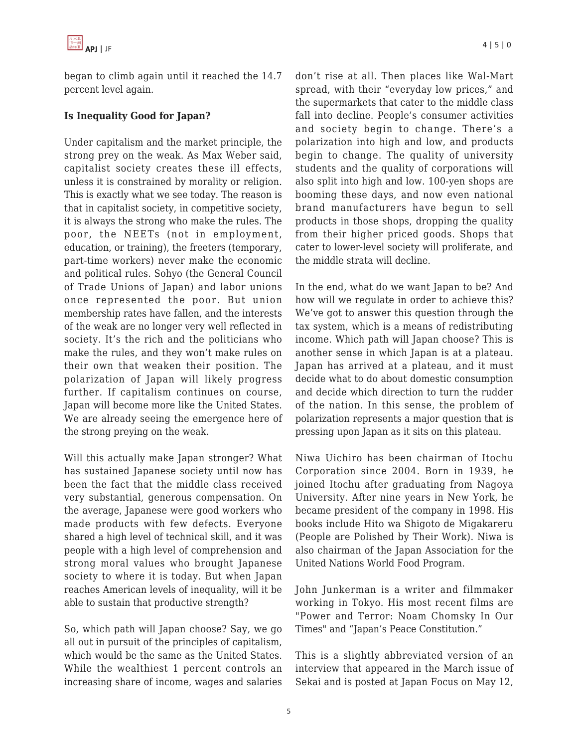

began to climb again until it reached the 14.7 percent level again.

#### **Is Inequality Good for Japan?**

Under capitalism and the market principle, the strong prey on the weak. As Max Weber said, capitalist society creates these ill effects, unless it is constrained by morality or religion. This is exactly what we see today. The reason is that in capitalist society, in competitive society, it is always the strong who make the rules. The poor, the NEETs (not in employment, education, or training), the freeters (temporary, part-time workers) never make the economic and political rules. Sohyo (the General Council of Trade Unions of Japan) and labor unions once represented the poor. But union membership rates have fallen, and the interests of the weak are no longer very well reflected in society. It's the rich and the politicians who make the rules, and they won't make rules on their own that weaken their position. The polarization of Japan will likely progress further. If capitalism continues on course, Japan will become more like the United States. We are already seeing the emergence here of the strong preying on the weak.

Will this actually make Japan stronger? What has sustained Japanese society until now has been the fact that the middle class received very substantial, generous compensation. On the average, Japanese were good workers who made products with few defects. Everyone shared a high level of technical skill, and it was people with a high level of comprehension and strong moral values who brought Japanese society to where it is today. But when Japan reaches American levels of inequality, will it be able to sustain that productive strength?

So, which path will Japan choose? Say, we go all out in pursuit of the principles of capitalism, which would be the same as the United States. While the wealthiest 1 percent controls an increasing share of income, wages and salaries don't rise at all. Then places like Wal-Mart spread, with their "everyday low prices," and the supermarkets that cater to the middle class fall into decline. People's consumer activities and society begin to change. There's a polarization into high and low, and products begin to change. The quality of university students and the quality of corporations will also split into high and low. 100-yen shops are booming these days, and now even national brand manufacturers have begun to sell products in those shops, dropping the quality from their higher priced goods. Shops that cater to lower-level society will proliferate, and the middle strata will decline.

In the end, what do we want Japan to be? And how will we regulate in order to achieve this? We've got to answer this question through the tax system, which is a means of redistributing income. Which path will Japan choose? This is another sense in which Japan is at a plateau. Japan has arrived at a plateau, and it must decide what to do about domestic consumption and decide which direction to turn the rudder of the nation. In this sense, the problem of polarization represents a major question that is pressing upon Japan as it sits on this plateau.

Niwa Uichiro has been chairman of Itochu Corporation since 2004. Born in 1939, he joined Itochu after graduating from Nagoya University. After nine years in New York, he became president of the company in 1998. His books include Hito wa Shigoto de Migakareru (People are Polished by Their Work). Niwa is also chairman of the Japan Association for the United Nations World Food Program.

John Junkerman is a writer and filmmaker working in Tokyo. His most recent films are "Power and Terror: Noam Chomsky In Our Times" and "Japan's Peace Constitution."

This is a slightly abbreviated version of an interview that appeared in the March issue of Sekai and is posted at Japan Focus on May 12,